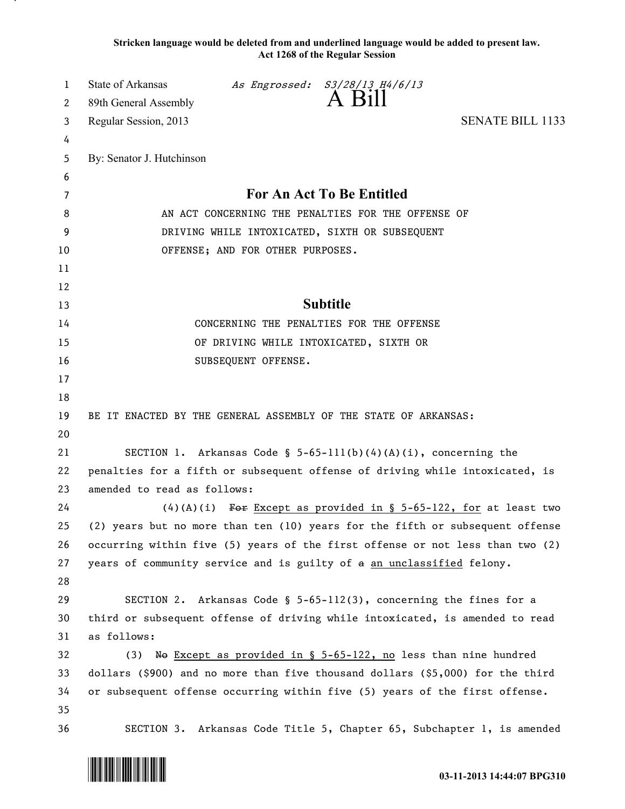**Stricken language would be deleted from and underlined language would be added to present law. Act 1268 of the Regular Session**

| 1  | <b>State of Arkansas</b>                                                       |                     | As Engrossed: S3/28/13 H4/6/13                                        |                                                                               |  |
|----|--------------------------------------------------------------------------------|---------------------|-----------------------------------------------------------------------|-------------------------------------------------------------------------------|--|
| 2  | 89th General Assembly                                                          |                     | A Bill                                                                |                                                                               |  |
| 3  | Regular Session, 2013                                                          |                     |                                                                       | <b>SENATE BILL 1133</b>                                                       |  |
| 4  |                                                                                |                     |                                                                       |                                                                               |  |
| 5  | By: Senator J. Hutchinson                                                      |                     |                                                                       |                                                                               |  |
| 6  |                                                                                |                     |                                                                       |                                                                               |  |
| 7  | For An Act To Be Entitled                                                      |                     |                                                                       |                                                                               |  |
| 8  | AN ACT CONCERNING THE PENALTIES FOR THE OFFENSE OF                             |                     |                                                                       |                                                                               |  |
| 9  | DRIVING WHILE INTOXICATED, SIXTH OR SUBSEQUENT                                 |                     |                                                                       |                                                                               |  |
| 10 | OFFENSE; AND FOR OTHER PURPOSES.                                               |                     |                                                                       |                                                                               |  |
| 11 |                                                                                |                     |                                                                       |                                                                               |  |
| 12 |                                                                                |                     |                                                                       |                                                                               |  |
| 13 | <b>Subtitle</b>                                                                |                     |                                                                       |                                                                               |  |
| 14 | CONCERNING THE PENALTIES FOR THE OFFENSE                                       |                     |                                                                       |                                                                               |  |
| 15 | OF DRIVING WHILE INTOXICATED, SIXTH OR                                         |                     |                                                                       |                                                                               |  |
| 16 |                                                                                | SUBSEQUENT OFFENSE. |                                                                       |                                                                               |  |
| 17 |                                                                                |                     |                                                                       |                                                                               |  |
| 18 |                                                                                |                     |                                                                       |                                                                               |  |
| 19 | BE IT ENACTED BY THE GENERAL ASSEMBLY OF THE STATE OF ARKANSAS:                |                     |                                                                       |                                                                               |  |
| 20 |                                                                                |                     |                                                                       |                                                                               |  |
| 21 | SECTION 1. Arkansas Code § 5-65-111(b)(4)(A)(i), concerning the                |                     |                                                                       |                                                                               |  |
| 22 | penalties for a fifth or subsequent offense of driving while intoxicated, is   |                     |                                                                       |                                                                               |  |
| 23 | amended to read as follows:                                                    |                     |                                                                       |                                                                               |  |
| 24 |                                                                                |                     |                                                                       | $(4)(A)(i)$ For Except as provided in § 5-65-122, for at least two            |  |
| 25 |                                                                                |                     |                                                                       | (2) years but no more than ten (10) years for the fifth or subsequent offense |  |
| 26 |                                                                                |                     |                                                                       | occurring within five (5) years of the first offense or not less than two (2) |  |
| 27 | years of community service and is guilty of a an unclassified felony.          |                     |                                                                       |                                                                               |  |
| 28 |                                                                                |                     |                                                                       |                                                                               |  |
| 29 |                                                                                |                     | SECTION 2. Arkansas Code § $5-65-112(3)$ , concerning the fines for a |                                                                               |  |
| 30 | third or subsequent offense of driving while intoxicated, is amended to read   |                     |                                                                       |                                                                               |  |
| 31 | as follows:                                                                    |                     |                                                                       |                                                                               |  |
| 32 |                                                                                |                     | (3) We Except as provided in $\S$ 5-65-122, no less than nine hundred |                                                                               |  |
| 33 | dollars (\$900) and no more than five thousand dollars (\$5,000) for the third |                     |                                                                       |                                                                               |  |
| 34 | or subsequent offense occurring within five (5) years of the first offense.    |                     |                                                                       |                                                                               |  |
| 35 |                                                                                |                     |                                                                       |                                                                               |  |
| 36 |                                                                                |                     |                                                                       | SECTION 3. Arkansas Code Title 5, Chapter 65, Subchapter 1, is amended        |  |